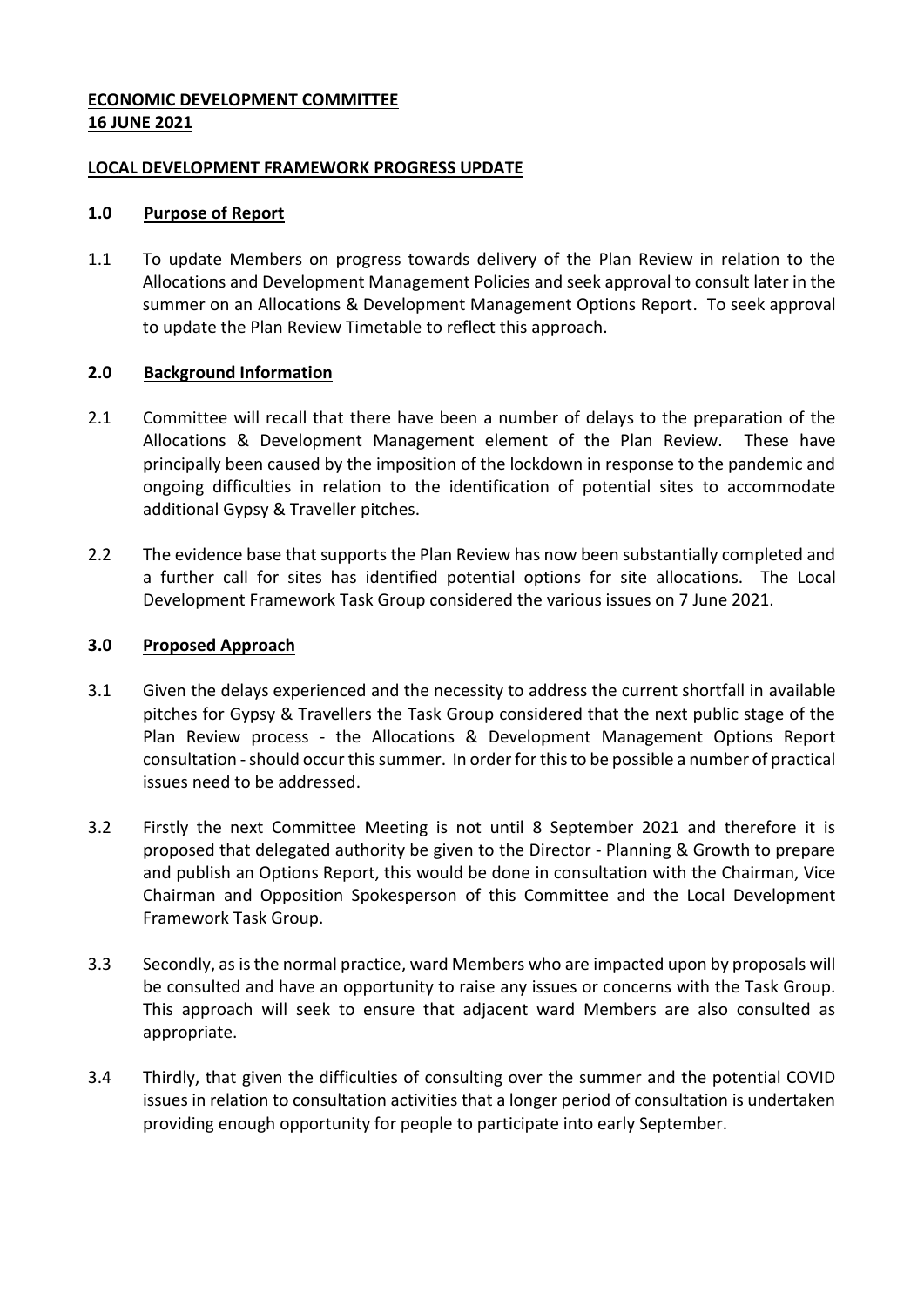## **ECONOMIC DEVELOPMENT COMMITTEE 16 JUNE 2021**

### **LOCAL DEVELOPMENT FRAMEWORK PROGRESS UPDATE**

### **1.0 Purpose of Report**

1.1 To update Members on progress towards delivery of the Plan Review in relation to the Allocations and Development Management Policies and seek approval to consult later in the summer on an Allocations & Development Management Options Report. To seek approval to update the Plan Review Timetable to reflect this approach.

## **2.0 Background Information**

- 2.1 Committee will recall that there have been a number of delays to the preparation of the Allocations & Development Management element of the Plan Review. These have principally been caused by the imposition of the lockdown in response to the pandemic and ongoing difficulties in relation to the identification of potential sites to accommodate additional Gypsy & Traveller pitches.
- 2.2 The evidence base that supports the Plan Review has now been substantially completed and a further call for sites has identified potential options for site allocations. The Local Development Framework Task Group considered the various issues on 7 June 2021.

### **3.0 Proposed Approach**

- 3.1 Given the delays experienced and the necessity to address the current shortfall in available pitches for Gypsy & Travellers the Task Group considered that the next public stage of the Plan Review process - the Allocations & Development Management Options Report consultation -should occur this summer. In order for this to be possible a number of practical issues need to be addressed.
- 3.2 Firstly the next Committee Meeting is not until 8 September 2021 and therefore it is proposed that delegated authority be given to the Director - Planning & Growth to prepare and publish an Options Report, this would be done in consultation with the Chairman, Vice Chairman and Opposition Spokesperson of this Committee and the Local Development Framework Task Group.
- 3.3 Secondly, as is the normal practice, ward Members who are impacted upon by proposals will be consulted and have an opportunity to raise any issues or concerns with the Task Group. This approach will seek to ensure that adjacent ward Members are also consulted as appropriate.
- 3.4 Thirdly, that given the difficulties of consulting over the summer and the potential COVID issues in relation to consultation activities that a longer period of consultation is undertaken providing enough opportunity for people to participate into early September.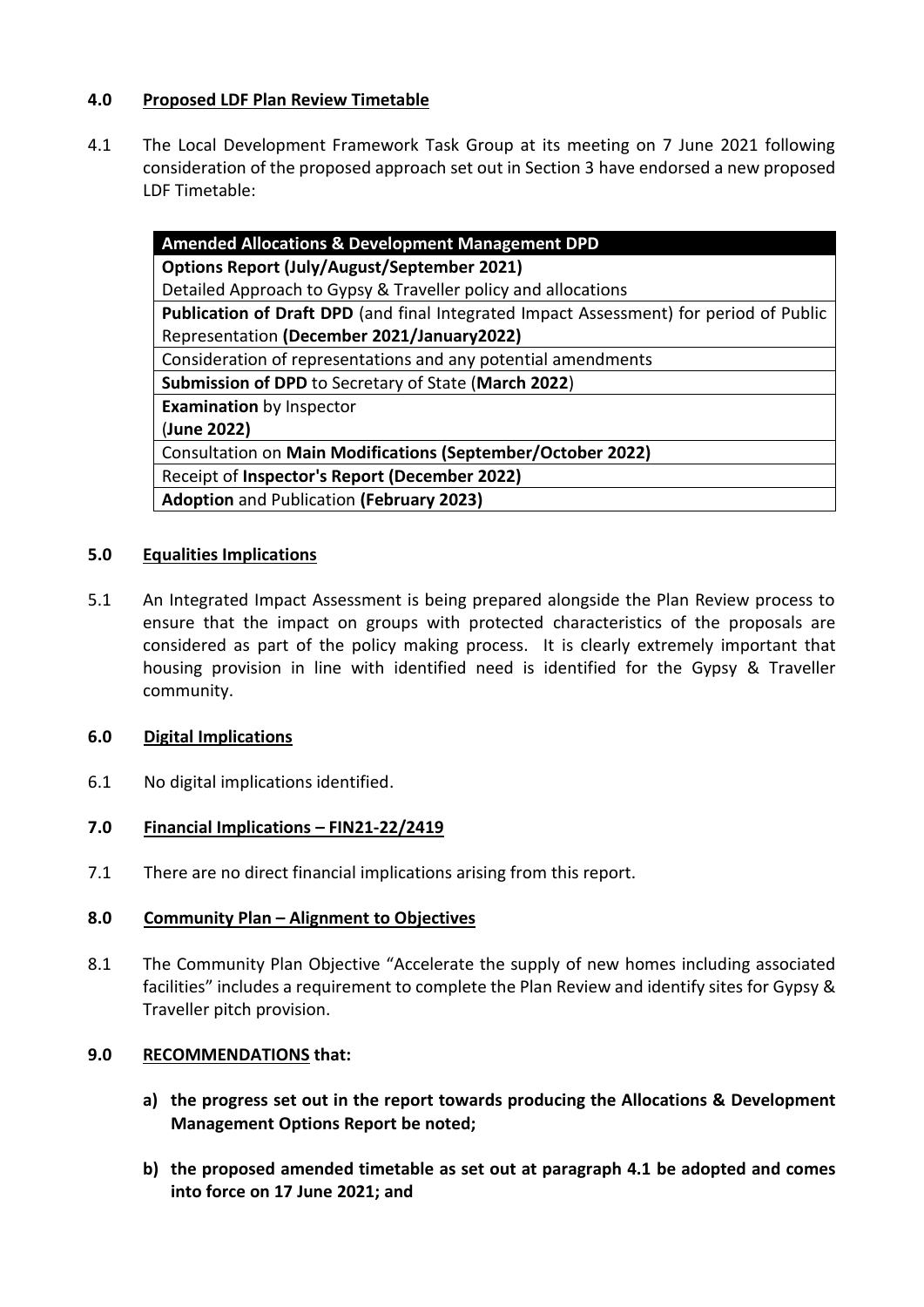## **4.0 Proposed LDF Plan Review Timetable**

4.1 The Local Development Framework Task Group at its meeting on 7 June 2021 following consideration of the proposed approach set out in Section 3 have endorsed a new proposed LDF Timetable:

| <b>Amended Allocations &amp; Development Management DPD</b>                                   |
|-----------------------------------------------------------------------------------------------|
| <b>Options Report (July/August/September 2021)</b>                                            |
| Detailed Approach to Gypsy & Traveller policy and allocations                                 |
| <b>Publication of Draft DPD</b> (and final Integrated Impact Assessment) for period of Public |
| Representation (December 2021/January2022)                                                    |
| Consideration of representations and any potential amendments                                 |
| <b>Submission of DPD to Secretary of State (March 2022)</b>                                   |
| <b>Examination</b> by Inspector                                                               |
| (June 2022)                                                                                   |
| Consultation on Main Modifications (September/October 2022)                                   |
| Receipt of Inspector's Report (December 2022)                                                 |
| <b>Adoption and Publication (February 2023)</b>                                               |

# **5.0 Equalities Implications**

5.1 An Integrated Impact Assessment is being prepared alongside the Plan Review process to ensure that the impact on groups with protected characteristics of the proposals are considered as part of the policy making process. It is clearly extremely important that housing provision in line with identified need is identified for the Gypsy & Traveller community.

#### **6.0 Digital Implications**

6.1 No digital implications identified.

#### **7.0 Financial Implications – FIN21-22/2419**

7.1 There are no direct financial implications arising from this report.

#### **8.0 Community Plan – Alignment to Objectives**

8.1 The Community Plan Objective "Accelerate the supply of new homes including associated facilities" includes a requirement to complete the Plan Review and identify sites for Gypsy & Traveller pitch provision.

#### **9.0 RECOMMENDATIONS that:**

- **a) the progress set out in the report towards producing the Allocations & Development Management Options Report be noted;**
- **b) the proposed amended timetable as set out at paragraph 4.1 be adopted and comes into force on 17 June 2021; and**